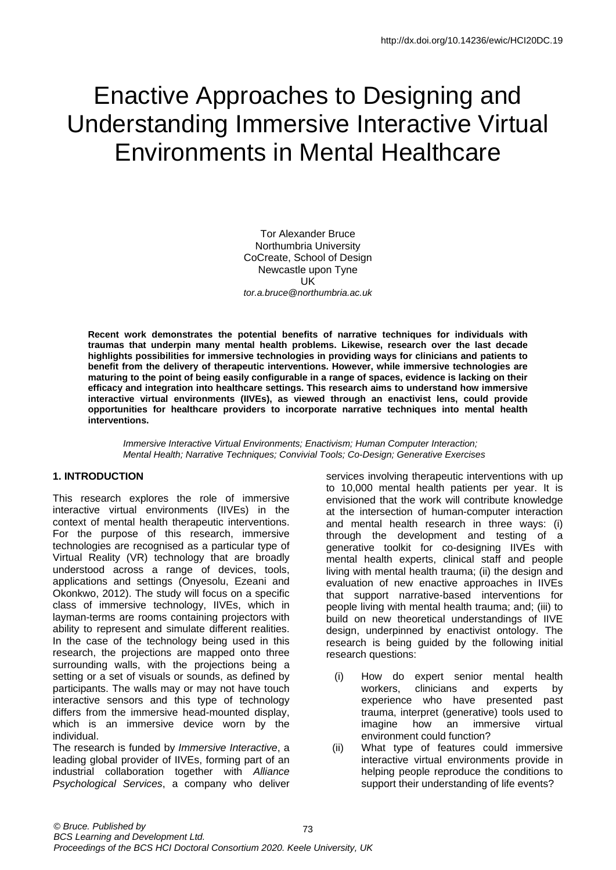# Enactive Approaches to Designing and Understanding Immersive Interactive Virtual Environments in Mental Healthcare

Tor Alexander Bruce Northumbria University CoCreate, School of Design Newcastle upon Tyne UK *[tor.a.bruce@northumbria.ac.uk](mailto:tor.a.bruce@northumbria.ac.uk)*

**Recent work demonstrates the potential benefits of narrative techniques for individuals with traumas that underpin many mental health problems. Likewise, research over the last decade highlights possibilities for immersive technologies in providing ways for clinicians and patients to benefit from the delivery of therapeutic interventions. However, while immersive technologies are maturing to the point of being easily configurable in a range of spaces, evidence is lacking on their efficacy and integration into healthcare settings. This research aims to understand how immersive interactive virtual environments (IIVEs), as viewed through an enactivist lens, could provide opportunities for healthcare providers to incorporate narrative techniques into mental health interventions.**

*Immersive Interactive Virtual Environments; Enactivism; Human Computer Interaction; Mental Health; Narrative Techniques; Convivial Tools; Co-Design; Generative Exercises*

#### **1. INTRODUCTION**

This research explores the role of immersive interactive virtual environments (IIVEs) in the context of mental health therapeutic interventions. For the purpose of this research, immersive technologies are recognised as a particular type of Virtual Reality (VR) technology that are broadly understood across a range of devices, tools, applications and settings (Onyesolu, Ezeani and Okonkwo, 2012). The study will focus on a specific class of immersive technology, IIVEs, which in layman-terms are rooms containing projectors with ability to represent and simulate different realities. In the case of the technology being used in this research, the projections are mapped onto three surrounding walls, with the projections being a setting or a set of visuals or sounds, as defined by participants. The walls may or may not have touch interactive sensors and this type of technology differs from the immersive head-mounted display, which is an immersive device worn by the individual.

<span id="page-0-0"></span>The research is funded by *Immersive Interactive*, a leading global provider of IIVEs, forming part of an industrial collaboration together with *Alliance Psychological Services*, a company who deliver services involving therapeutic interventions with up to 10,000 mental health patients per year. It is envisioned that the work will contribute knowledge at the intersection of human-computer interaction and mental health research in three ways: (i) through the development and testing of a generative toolkit for co-designing IIVEs with mental health experts, clinical staff and people living with mental health trauma; (ii) the design and evaluation of new enactive approaches in IIVEs that support narrative-based interventions for people living with mental health trauma; and; (iii) to build on new theoretical understandings of IIVE design, underpinned by enactivist ontology. The research is being guided by the following initial research questions:

- (i) How do expert senior mental health workers, clinicians and experts by experience who have presented past trauma, interpret (generative) tools used to imagine how an immersive virtual environment could function?
- (ii) What type of features could immersive interactive virtual environments provide in helping people reproduce the conditions to support their understanding of life events?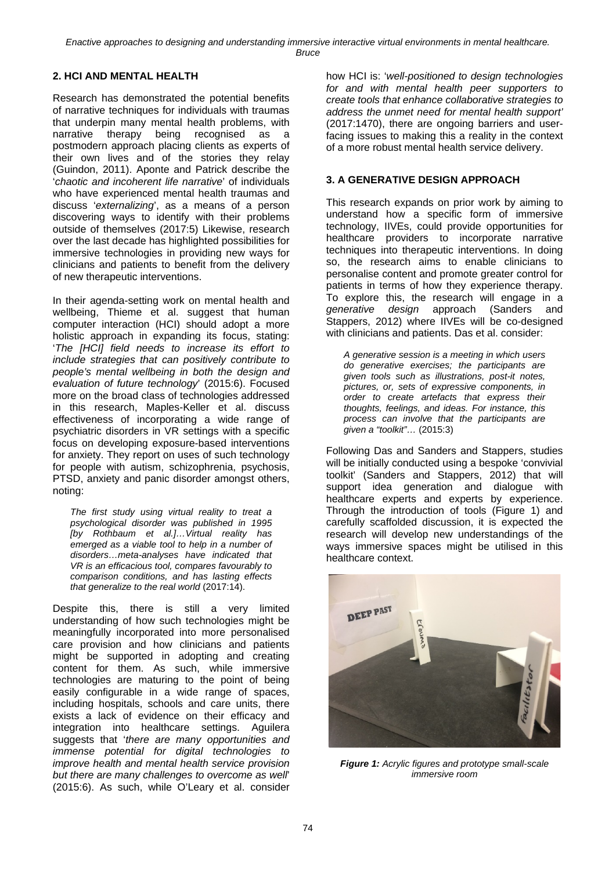*Enactive approaches to designing and understanding immersive interactive virtual environments in mental healthcare. Bruce*

## **2. HCI AND MENTAL HEALTH**

Research has demonstrated the potential benefits of narrative techniques for individuals with traumas that underpin many mental health problems, with narrative therapy being recognised as a postmodern approach placing clients as experts of their own lives and of the stories they relay (Guindon, 2011). Aponte and Patrick describe the '*chaotic and incoherent life narrative*' of individuals who have experienced mental health traumas and discuss '*externalizing*', as a means of a person discovering ways to identify with their problems outside of themselves (2017:5) Likewise, research over the last decade has highlighted possibilities for immersive technologies in providing new ways for clinicians and patients to benefit from the delivery of new therapeutic interventions.

In their agenda-setting work on mental health and wellbeing, Thieme et al. suggest that human computer interaction (HCI) should adopt a more holistic approach in expanding its focus, stating: '*The [HCI] field needs to increase its effort to include strategies that can positively contribute to people's mental wellbeing in both the design and evaluation of future technology*' (2015:6). Focused more on the broad class of technologies addressed in this research, Maples-Keller et al. discuss effectiveness of incorporating a wide range of psychiatric disorders in VR settings with a specific focus on developing exposure-based interventions for anxiety. They report on uses of such technology for people with autism, schizophrenia, psychosis, PTSD, anxiety and panic disorder amongst others, noting:

*The first study using virtual reality to treat a psychological disorder was published in 1995 [by Rothbaum et al.]…Virtual reality has emerged as a viable tool to help in a number of disorders…meta-analyses have indicated that VR is an efficacious tool, compares favourably to comparison conditions, and has lasting effects that generalize to the real world* (2017:14).

Despite this, there is still a very limited understanding of how such technologies might be meaningfully incorporated into more personalised care provision and how clinicians and patients might be supported in adopting and creating content for them. As such, while immersive technologies are maturing to the point of being easily configurable in a wide range of spaces, including hospitals, schools and care units, there exists a lack of evidence on their efficacy and integration into healthcare settings. Aguilera suggests that '*there are many opportunities and immense potential for digital technologies to improve health and mental health service provision but there are many challenges to overcome as well*' (2015:6). As such, while O'Leary et al. consider

how HCI is: '*well-positioned to design technologies for and with mental health peer supporters to create tools that enhance collaborative strategies to address the unmet need for mental health support'* (2017:1470), there are ongoing barriers and userfacing issues to making this a reality in the context of a more robust mental health service delivery.

### **3. A GENERATIVE DESIGN APPROACH**

This research expands on prior work by aiming to understand how a specific form of immersive technology, IIVEs, could provide opportunities for healthcare providers to incorporate narrative techniques into therapeutic interventions. In doing so, the research aims to enable clinicians to personalise content and promote greater control for patients in terms of how they experience therapy. To explore this, the research will engage in a *generative design* approach (Sanders and Stappers, 2012) where IIVEs will be co-designed with clinicians and patients. Das et al. consider:

*A generative session is a meeting in which users do generative exercises; the participants are given tools such as illustrations, post-it notes, pictures, or, sets of expressive components, in order to create artefacts that express their thoughts, feelings, and ideas. For instance, this process can involve that the participants are given a "toolkit"…* (2015:3)

Following Das and Sanders and Stappers, studies will be initially conducted using a bespoke 'convivial toolkit' (Sanders and Stappers, 2012) that will support idea generation and dialogue with healthcare experts and experts by experience. Through the introduction of tools (Figure 1) and carefully scaffolded discussion, it is expected the research will develop new understandings of the ways immersive spaces might be utilised in this healthcare context.



*Figure 1: Acrylic figures and prototype small-scale immersive room*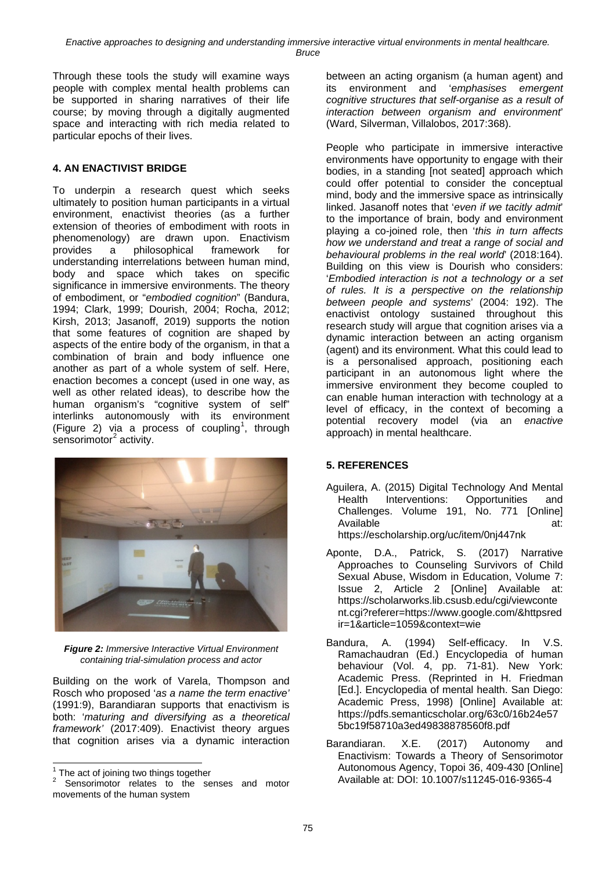Through these tools the study will examine ways people with complex mental health problems can be supported in sharing narratives of their life course; by moving through a digitally augmented space and interacting with rich media related to particular epochs of their lives.

## **4. AN ENACTIVIST BRIDGE**

To underpin a research quest which seeks ultimately to position human participants in a virtual environment, enactivist theories (as a further extension of theories of embodiment with roots in phenomenology) are drawn upon. Enactivism provides a philosophical framework for understanding interrelations between human mind, body and space which takes on specific significance in immersive environments. The theory of embodiment, or "*embodied cognition*" (Bandura, 1994; Clark, 1999; Dourish, 2004; Rocha, 2012; Kirsh, 2013; Jasanoff, 2019) supports the notion that some features of cognition are shaped by aspects of the entire body of the organism, in that a combination of brain and body influence one another as part of a whole system of self. Here, enaction becomes a concept (used in one way, as well as other related ideas), to describe how the human organism's "cognitive system of self" interlinks autonomously with its environment (Figure 2) via a process of coupling<sup>[1](#page-0-0)</sup>, through sensorimotor $2$  activity.



*Figure 2: Immersive Interactive Virtual Environment containing trial-simulation process and actor*

Building on the work of Varela, Thompson and Rosch who proposed '*as a name the term enactive'* (1991:9), Barandiaran supports that enactivism is both: '*maturing and diversifying as a theoretical framework'* (2017:409). Enactivist theory argues that cognition arises via a dynamic interaction between an acting organism (a human agent) and<br>its environment and 'emphasises emergent its environment and '*emphasises emergent cognitive structures that self-organise as a result of interaction between organism and environment*' (Ward, Silverman, Villalobos, 2017:368).

People who participate in immersive interactive environments have opportunity to engage with their bodies, in a standing [not seated] approach which could offer potential to consider the conceptual mind, body and the immersive space as intrinsically linked. Jasanoff notes that '*even if we tacitly admit*' to the importance of brain, body and environment playing a co-joined role, then '*this in turn affects how we understand and treat a range of social and behavioural problems in the real world*' (2018:164). Building on this view is Dourish who considers: '*Embodied interaction is not a technology or a set of rules. It is a perspective on the relationship between people and systems*' (2004: 192). The enactivist ontology sustained throughout this research study will argue that cognition arises via a dynamic interaction between an acting organism (agent) and its environment. What this could lead to is a personalised approach, positioning each participant in an autonomous light where the immersive environment they become coupled to can enable human interaction with technology at a level of efficacy, in the context of becoming a potential recovery model (via an *enactive* approach) in mental healthcare.

## **5. REFERENCES**

- Aguilera, A. (2015) Digital Technology And Mental Health Interventions: Opportunities and Challenges. Volume 191, No. 771 [Online] Available at: <https://escholarship.org/uc/item/0nj447nk>
- Aponte, D.A., Patrick, S. (2017) Narrative Approaches to Counseling Survivors of Child Sexual Abuse, Wisdom in Education, Volume 7: Issue 2, Article 2 [Online] Available at: [https://scholarworks.lib.csusb.edu/cgi/viewconte](https://scholarworks.lib.csusb.edu/cgi/viewcontent.cgi?referer=https://www.google.com/&httpsredir=1&article=1059&context=wie) [nt.cgi?referer=https://www.google.com/&httpsred](https://scholarworks.lib.csusb.edu/cgi/viewcontent.cgi?referer=https://www.google.com/&httpsredir=1&article=1059&context=wie) [ir=1&article=1059&context=wie](https://scholarworks.lib.csusb.edu/cgi/viewcontent.cgi?referer=https://www.google.com/&httpsredir=1&article=1059&context=wie)
- Bandura, A. (1994) Self-efficacy. In V.S. Ramachaudran (Ed.) Encyclopedia of human behaviour (Vol. 4, pp. 71-81). New York: Academic Press. (Reprinted in H. Friedman [Ed.]. Encyclopedia of mental health. San Diego: Academic Press, 1998) [Online] Available at: [https://pdfs.semanticscholar.org/63c0/16b24e57](https://pdfs.semanticscholar.org/63c0/16b24e575bc19f58710a3ed49838878560f8.pdf) [5bc19f58710a3ed49838878560f8.pdf](https://pdfs.semanticscholar.org/63c0/16b24e575bc19f58710a3ed49838878560f8.pdf)
- Barandiaran. X.E. (2017) Autonomy and Enactivism: Towards a Theory of Sensorimotor Autonomous Agency, Topoi 36, 409-430 [Online] Available at: DOI: 10.1007/s11245-016-9365-4

 $<sup>1</sup>$  The act of joining two things together</sup>

<span id="page-2-0"></span>Sensorimotor relates to the senses and motor movements of the human system